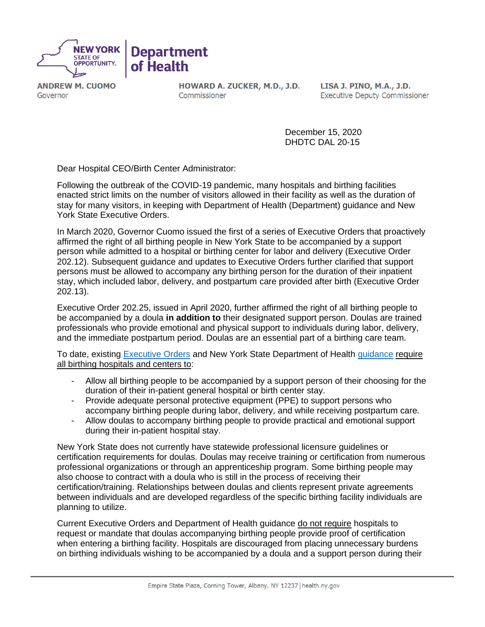

**ANDREW M. CUOMO** Governor

HOWARD A. ZUCKER, M.D., J.D. Commissioner

LISA J. PINO, M.A., J.D. **Executive Deputy Commissioner** 

December 15, 2020 DHDTC DAL 20-15

Dear Hospital CEO/Birth Center Administrator:

Following the outbreak of the COVID-19 pandemic, many hospitals and birthing facilities enacted strict limits on the number of visitors allowed in their facility as well as the duration of stay for many visitors, in keeping with Department of Health (Department) guidance and New York State Executive Orders.

In March 2020, Governor Cuomo issued the first of a series of Executive Orders that proactively affirmed the right of all birthing people in New York State to be accompanied by a support person while admitted to a hospital or birthing center for labor and delivery (Executive Order 202.12). Subsequent guidance and updates to Executive Orders further clarified that support persons must be allowed to accompany any birthing person for the duration of their inpatient stay, which included labor, delivery, and postpartum care provided after birth (Executive Order 202.13).

Executive Order 202.25, issued in April 2020, further affirmed the right of all birthing people to be accompanied by a doula **in addition to** their designated support person. Doulas are trained professionals who provide emotional and physical support to individuals during labor, delivery, and the immediate postpartum period. Doulas are an essential part of a birthing care team.

To date, existing [Executive Orders](https://www.governor.ny.gov/news/no-20225-continuing-temporary-suspension-and-modification-laws-relating-disaster-emergency) and New York State Department of Health [guidance](https://coronavirus.health.ny.gov/system/files/documents/2020/05/doh_covid19_revisedhospitalvisitationand_faq_052020_final.pdf) require all birthing hospitals and centers to:

- Allow all birthing people to be accompanied by a support person of their choosing for the duration of their in-patient general hospital or birth center stay.
- Provide adequate personal protective equipment (PPE) to support persons who accompany birthing people during labor, delivery, and while receiving postpartum care.
- Allow doulas to accompany birthing people to provide practical and emotional support during their in-patient hospital stay.

New York State does not currently have statewide professional licensure guidelines or certification requirements for doulas. Doulas may receive training or certification from numerous professional organizations or through an apprenticeship program. Some birthing people may also choose to contract with a doula who is still in the process of receiving their certification/training. Relationships between doulas and clients represent private agreements between individuals and are developed regardless of the specific birthing facility individuals are planning to utilize.

Current Executive Orders and Department of Health guidance do not require hospitals to request or mandate that doulas accompanying birthing people provide proof of certification when entering a birthing facility. Hospitals are discouraged from placing unnecessary burdens on birthing individuals wishing to be accompanied by a doula and a support person during their